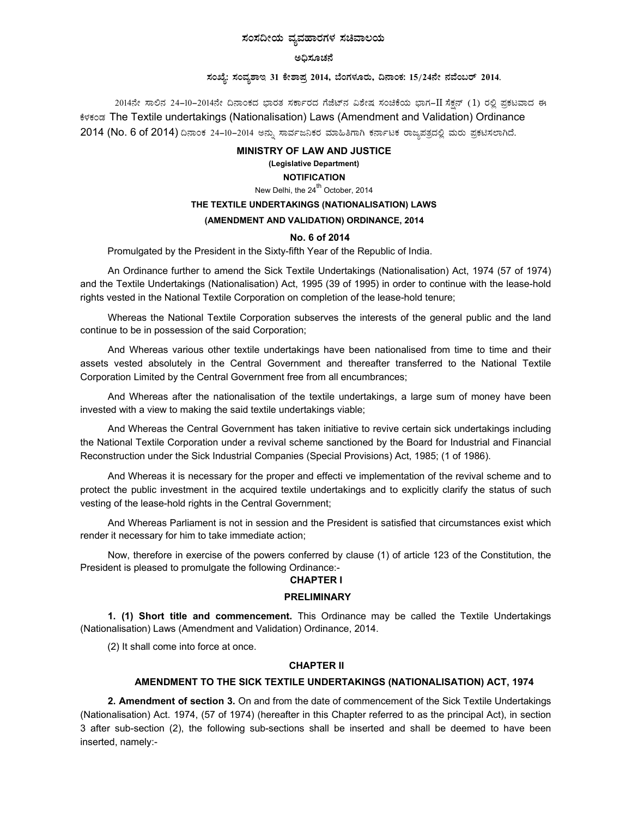# ಸಂಸದೀಯ ವ್ಯವಹಾರಗಳ ಸಚಿವಾಲಯ

#### ಅಧಿಸೂಚನೆ

## ಸಂಖ್ಯೆ: ಸಂವ್ಯಶಾಇ 31 ಕೇಶಾಪ್ರ 2014, ಬೆಂಗಳೂರು, ದಿನಾಂಕ: 15/24ನೇ ನವೆಂಬರ್ 2014.

2014ನೇ ಸಾಲಿನ 24–10–2014ನೇ ದಿನಾಂಕದ ಭಾರತ ಸರ್ಕಾರದ ಗೆಜೆಟ್ನ ವಿಶೇಷ ಸಂಚಿಕೆಯ ಭಾಗ–II ಸೆಕ್ಷನ್ (1) ರಲ್ಲಿ ಪ್ರಕಟವಾದ ಈ ಕೆಳಕಂಡ The Textile undertakings (Nationalisation) Laws (Amendment and Validation) Ordinance 2014 (No. 6 of 2014) ದಿನಾಂಕ 24–10–2014 ಅನ್ನು ಸಾರ್ವಜನಿಕರ ಮಾಹಿತಿಗಾಗಿ ಕರ್ನಾಟಕ ರಾಜ್ಯಪತ್ರದಲ್ಲಿ ಮರು ಪ್ರಕಟಿಸಲಾಗಿದೆ.

#### **MINISTRY OF LAW AND JUSTICE**

## (Legislative Department)

### **NOTIFICATION**

New Delhi, the 24<sup>th</sup> October, 2014

## THE TEXTILE UNDERTAKINGS (NATIONALISATION) LAWS

#### (AMENDMENT AND VALIDATION) ORDINANCE, 2014

#### No. 6 of 2014

Promulgated by the President in the Sixty-fifth Year of the Republic of India.

An Ordinance further to amend the Sick Textile Undertakings (Nationalisation) Act, 1974 (57 of 1974) and the Textile Undertakings (Nationalisation) Act, 1995 (39 of 1995) in order to continue with the lease-hold rights vested in the National Textile Corporation on completion of the lease-hold tenure;

Whereas the National Textile Corporation subserves the interests of the general public and the land continue to be in possession of the said Corporation;

And Whereas various other textile undertakings have been nationalised from time to time and their assets vested absolutely in the Central Government and thereafter transferred to the National Textile Corporation Limited by the Central Government free from all encumbrances;

And Whereas after the nationalisation of the textile undertakings, a large sum of money have been invested with a view to making the said textile undertakings viable;

And Whereas the Central Government has taken initiative to revive certain sick undertakings including the National Textile Corporation under a revival scheme sanctioned by the Board for Industrial and Financial Reconstruction under the Sick Industrial Companies (Special Provisions) Act, 1985; (1 of 1986).

And Whereas it is necessary for the proper and effecti ve implementation of the revival scheme and to protect the public investment in the acquired textile undertakings and to explicitly clarify the status of such vesting of the lease-hold rights in the Central Government;

And Whereas Parliament is not in session and the President is satisfied that circumstances exist which render it necessary for him to take immediate action;

Now, therefore in exercise of the powers conferred by clause (1) of article 123 of the Constitution, the President is pleased to promulgate the following Ordinance:-

#### **CHAPTER I**

#### **PRELIMINARY**

1. (1) Short title and commencement. This Ordinance may be called the Textile Undertakings (Nationalisation) Laws (Amendment and Validation) Ordinance, 2014.

(2) It shall come into force at once.

### **CHAPTER II**

#### AMENDMENT TO THE SICK TEXTILE UNDERTAKINGS (NATIONALISATION) ACT, 1974

2. Amendment of section 3. On and from the date of commencement of the Sick Textile Undertakings (Nationalisation) Act. 1974, (57 of 1974) (hereafter in this Chapter referred to as the principal Act), in section 3 after sub-section (2), the following sub-sections shall be inserted and shall be deemed to have been inserted, namely:-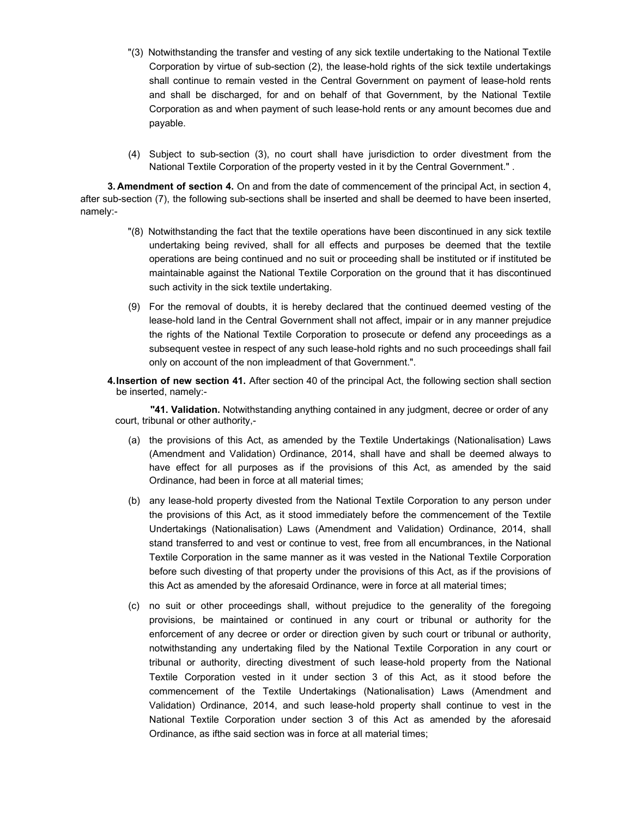- "(3) Notwithstanding the transfer and vesting of any sick textile undertaking to the National Textile Corporation by virtue of sub-section (2), the lease-hold rights of the sick textile undertakings shall continue to remain vested in the Central Government on payment of lease-hold rents and shall be discharged, for and on behalf of that Government, by the National Textile Corporation as and when payment of such lease-hold rents or any amount becomes due and payable.
- (4) Subject to sub-section (3), no court shall have jurisdiction to order divestment from the National Textile Corporation of the property vested in it by the Central Government." .

**3. Amendment of section 4.** On and from the date of commencement of the principal Act, in section 4, after sub-section (7), the following sub-sections shall be inserted and shall be deemed to have been inserted, namely:-

- "(8) Notwithstanding the fact that the textile operations have been discontinued in any sick textile undertaking being revived, shall for all effects and purposes be deemed that the textile operations are being continued and no suit or proceeding shall be instituted or if instituted be maintainable against the National Textile Corporation on the ground that it has discontinued such activity in the sick textile undertaking.
- (9) For the removal of doubts, it is hereby declared that the continued deemed vesting of the lease-hold land in the Central Government shall not affect, impair or in any manner prejudice the rights of the National Textile Corporation to prosecute or defend any proceedings as a subsequent vestee in respect of any such lease-hold rights and no such proceedings shall fail only on account of the non impleadment of that Government.".
- **4. Insertion of new section 41.** After section 40 of the principal Act, the following section shall section be inserted, namely:-

**"41. Validation.** Notwithstanding anything contained in any judgment, decree or order of any court, tribunal or other authority,-

- (a) the provisions of this Act, as amended by the Textile Undertakings (Nationalisation) Laws (Amendment and Validation) Ordinance, 2014, shall have and shall be deemed always to have effect for all purposes as if the provisions of this Act, as amended by the said Ordinance, had been in force at all material times;
- (b) any lease-hold property divested from the National Textile Corporation to any person under the provisions of this Act, as it stood immediately before the commencement of the Textile Undertakings (Nationalisation) Laws (Amendment and Validation) Ordinance, 2014, shall stand transferred to and vest or continue to vest, free from all encumbrances, in the National Textile Corporation in the same manner as it was vested in the National Textile Corporation before such divesting of that property under the provisions of this Act, as if the provisions of this Act as amended by the aforesaid Ordinance, were in force at all material times;
- (c) no suit or other proceedings shall, without prejudice to the generality of the foregoing provisions, be maintained or continued in any court or tribunal or authority for the enforcement of any decree or order or direction given by such court or tribunal or authority, notwithstanding any undertaking filed by the National Textile Corporation in any court or tribunal or authority, directing divestment of such lease-hold property from the National Textile Corporation vested in it under section 3 of this Act, as it stood before the commencement of the Textile Undertakings (Nationalisation) Laws (Amendment and Validation) Ordinance, 2014, and such lease-hold property shall continue to vest in the National Textile Corporation under section 3 of this Act as amended by the aforesaid Ordinance, as ifthe said section was in force at all material times;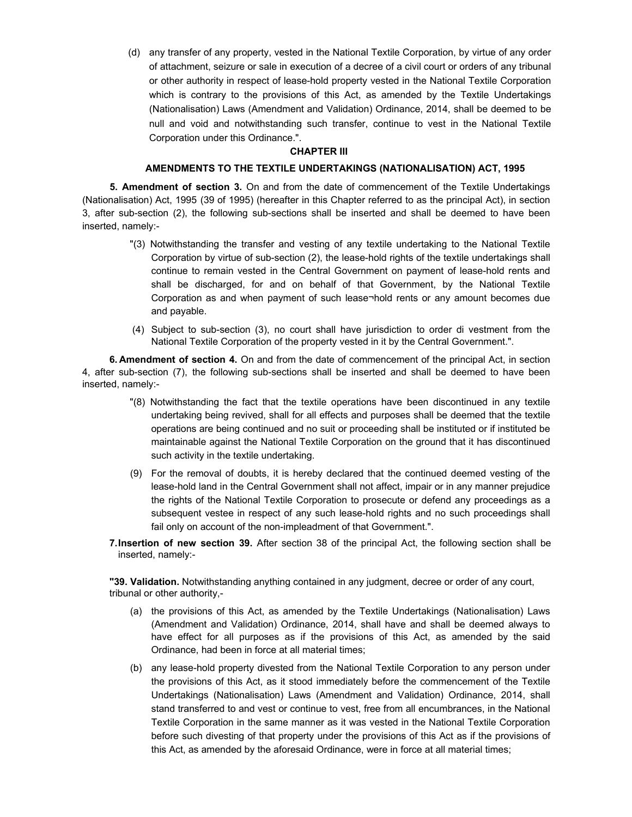(d) any transfer of any property, vested in the National Textile Corporation, by virtue of any order of attachment, seizure or sale in execution of a decree of a civil court or orders of any tribunal or other authority in respect of lease-hold property vested in the National Textile Corporation which is contrary to the provisions of this Act, as amended by the Textile Undertakings (Nationalisation) Laws (Amendment and Validation) Ordinance, 2014, shall be deemed to be null and void and notwithstanding such transfer, continue to vest in the National Textile Corporation under this Ordinance.".

### **CHAPTER III**

#### **AMENDMENTS TO THE TEXTILE UNDERTAKINGS (NATIONALISATION) ACT, 1995**

**5. Amendment of section 3.** On and from the date of commencement of the Textile Undertakings (Nationalisation) Act, 1995 (39 of 1995) (hereafter in this Chapter referred to as the principal Act), in section 3, after sub-section (2), the following sub-sections shall be inserted and shall be deemed to have been inserted, namely:-

- "(3) Notwithstanding the transfer and vesting of any textile undertaking to the National Textile Corporation by virtue of sub-section (2), the lease-hold rights of the textile undertakings shall continue to remain vested in the Central Government on payment of lease-hold rents and shall be discharged, for and on behalf of that Government, by the National Textile Corporation as and when payment of such lease¬hold rents or any amount becomes due and payable.
- (4) Subject to sub-section (3), no court shall have jurisdiction to order di vestment from the National Textile Corporation of the property vested in it by the Central Government.".

**6. Amendment of section 4.** On and from the date of commencement of the principal Act, in section 4, after sub-section (7), the following sub-sections shall be inserted and shall be deemed to have been inserted, namely:-

- "(8) Notwithstanding the fact that the textile operations have been discontinued in any textile undertaking being revived, shall for all effects and purposes shall be deemed that the textile operations are being continued and no suit or proceeding shall be instituted or if instituted be maintainable against the National Textile Corporation on the ground that it has discontinued such activity in the textile undertaking.
- (9) For the removal of doubts, it is hereby declared that the continued deemed vesting of the lease-hold land in the Central Government shall not affect, impair or in any manner prejudice the rights of the National Textile Corporation to prosecute or defend any proceedings as a subsequent vestee in respect of any such lease-hold rights and no such proceedings shall fail only on account of the non-impleadment of that Government.".
- **7. Insertion of new section 39.** After section 38 of the principal Act, the following section shall be inserted, namely:-

**"39. Validation.** Notwithstanding anything contained in any judgment, decree or order of any court, tribunal or other authority,-

- (a) the provisions of this Act, as amended by the Textile Undertakings (Nationalisation) Laws (Amendment and Validation) Ordinance, 2014, shall have and shall be deemed always to have effect for all purposes as if the provisions of this Act, as amended by the said Ordinance, had been in force at all material times;
- (b) any lease-hold property divested from the National Textile Corporation to any person under the provisions of this Act, as it stood immediately before the commencement of the Textile Undertakings (Nationalisation) Laws (Amendment and Validation) Ordinance, 2014, shall stand transferred to and vest or continue to vest, free from all encumbrances, in the National Textile Corporation in the same manner as it was vested in the National Textile Corporation before such divesting of that property under the provisions of this Act as if the provisions of this Act, as amended by the aforesaid Ordinance, were in force at all material times;